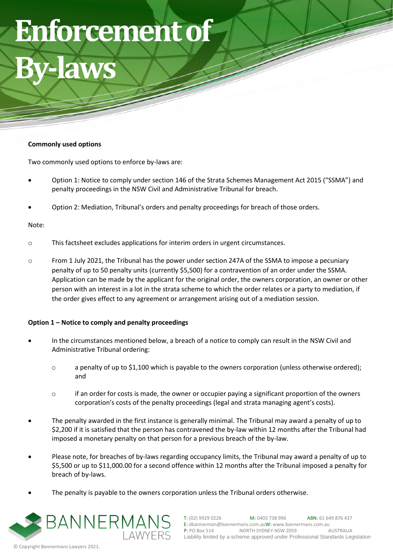# **Enforcement of**

## **By-laws**

### **Commonly used options**

Two commonly used options to enforce by-laws are:

- Option 1: Notice to comply under section 146 of the Strata Schemes Management Act 2015 ("SSMA") and penalty proceedings in the NSW Civil and Administrative Tribunal for breach.
- Option 2: Mediation, Tribunal's orders and penalty proceedings for breach of those orders.

#### Note:

- o This factsheet excludes applications for interim orders in urgent circumstances.
- o From 1 July 2021, the Tribunal has the power under section 247A of the SSMA to impose a pecuniary penalty of up to 50 penalty units (currently \$5,500) for a contravention of an order under the SSMA. Application can be made by the applicant for the original order, the owners corporation, an owner or other person with an interest in a lot in the strata scheme to which the order relates or a party to mediation, if the order gives effect to any agreement or arrangement arising out of a mediation session.

#### **Option 1 – Notice to comply and penalty proceedings**

- In the circumstances mentioned below, a breach of a notice to comply can result in the NSW Civil and Administrative Tribunal ordering:
	- o a penalty of up to \$1,100 which is payable to the owners corporation (unless otherwise ordered); and
	- $\circ$  if an order for costs is made, the owner or occupier paying a significant proportion of the owners corporation's costs of the penalty proceedings (legal and strata managing agent's costs).
- The penalty awarded in the first instance is generally minimal. The Tribunal may award a penalty of up to \$2,200 if it is satisfied that the person has contravened the by-law within 12 months after the Tribunal had imposed a monetary penalty on that person for a previous breach of the by-law.
- Please note, for breaches of by-laws regarding occupancy limits, the Tribunal may award a penalty of up to \$5,500 or up to \$11,000.00 for a second offence within 12 months after the Tribunal imposed a penalty for breach of by-laws.
- The penalty is payable to the owners corporation unless the Tribunal orders otherwise.



1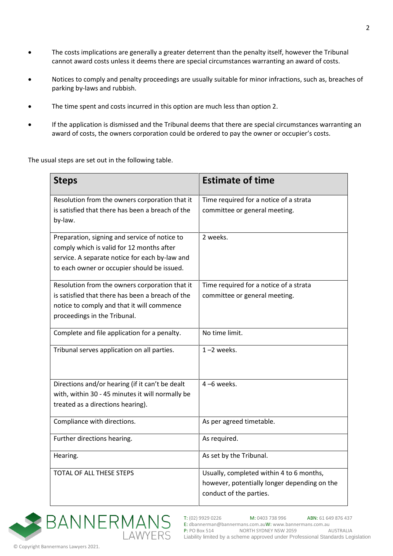- The costs implications are generally a greater deterrent than the penalty itself, however the Tribunal cannot award costs unless it deems there are special circumstances warranting an award of costs.
- Notices to comply and penalty proceedings are usually suitable for minor infractions, such as, breaches of parking by-laws and rubbish.
- The time spent and costs incurred in this option are much less than option 2.
- If the application is dismissed and the Tribunal deems that there are special circumstances warranting an award of costs, the owners corporation could be ordered to pay the owner or occupier's costs.

The usual steps are set out in the following table.

| <b>Steps</b>                                     | <b>Estimate of time</b>                      |
|--------------------------------------------------|----------------------------------------------|
| Resolution from the owners corporation that it   | Time required for a notice of a strata       |
| is satisfied that there has been a breach of the | committee or general meeting.                |
| by-law.                                          |                                              |
| Preparation, signing and service of notice to    | 2 weeks.                                     |
| comply which is valid for 12 months after        |                                              |
| service. A separate notice for each by-law and   |                                              |
| to each owner or occupier should be issued.      |                                              |
| Resolution from the owners corporation that it   | Time required for a notice of a strata       |
| is satisfied that there has been a breach of the | committee or general meeting.                |
| notice to comply and that it will commence       |                                              |
| proceedings in the Tribunal.                     |                                              |
| Complete and file application for a penalty.     | No time limit.                               |
| Tribunal serves application on all parties.      | $1 - 2$ weeks.                               |
| Directions and/or hearing (if it can't be dealt  | $4 - 6$ weeks.                               |
| with, within 30 - 45 minutes it will normally be |                                              |
| treated as a directions hearing).                |                                              |
| Compliance with directions.                      | As per agreed timetable.                     |
| Further directions hearing.                      | As required.                                 |
| Hearing.                                         | As set by the Tribunal.                      |
| <b>TOTAL OF ALL THESE STEPS</b>                  | Usually, completed within 4 to 6 months,     |
|                                                  | however, potentially longer depending on the |
|                                                  | conduct of the parties.                      |
|                                                  |                                              |

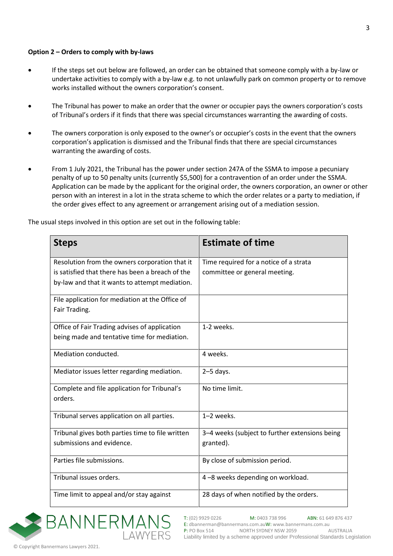#### **Option 2 – Orders to comply with by-laws**

- If the steps set out below are followed, an order can be obtained that someone comply with a by-law or undertake activities to comply with a by-law e.g. to not unlawfully park on common property or to remove works installed without the owners corporation's consent.
- The Tribunal has power to make an order that the owner or occupier pays the owners corporation's costs of Tribunal's orders if it finds that there was special circumstances warranting the awarding of costs.
- The owners corporation is only exposed to the owner's or occupier's costs in the event that the owners corporation's application is dismissed and the Tribunal finds that there are special circumstances warranting the awarding of costs.
- From 1 July 2021, the Tribunal has the power under section 247A of the SSMA to impose a pecuniary penalty of up to 50 penalty units (currently \$5,500) for a contravention of an order under the SSMA. Application can be made by the applicant for the original order, the owners corporation, an owner or other person with an interest in a lot in the strata scheme to which the order relates or a party to mediation, if the order gives effect to any agreement or arrangement arising out of a mediation session.

|  |  | The usual steps involved in this option are set out in the following table: |
|--|--|-----------------------------------------------------------------------------|
|--|--|-----------------------------------------------------------------------------|

| <b>Steps</b>                                     | <b>Estimate of time</b>                        |
|--------------------------------------------------|------------------------------------------------|
| Resolution from the owners corporation that it   | Time required for a notice of a strata         |
| is satisfied that there has been a breach of the | committee or general meeting.                  |
| by-law and that it wants to attempt mediation.   |                                                |
| File application for mediation at the Office of  |                                                |
| Fair Trading.                                    |                                                |
| Office of Fair Trading advises of application    | 1-2 weeks.                                     |
| being made and tentative time for mediation.     |                                                |
| Mediation conducted.                             | 4 weeks.                                       |
| Mediator issues letter regarding mediation.      | $2-5$ days.                                    |
| Complete and file application for Tribunal's     | No time limit.                                 |
| orders.                                          |                                                |
| Tribunal serves application on all parties.      | 1-2 weeks.                                     |
| Tribunal gives both parties time to file written | 3-4 weeks (subject to further extensions being |
| submissions and evidence.                        | granted).                                      |
| Parties file submissions.                        | By close of submission period.                 |
| Tribunal issues orders.                          | 4-8 weeks depending on workload.               |
| Time limit to appeal and/or stay against         | 28 days of when notified by the orders.        |